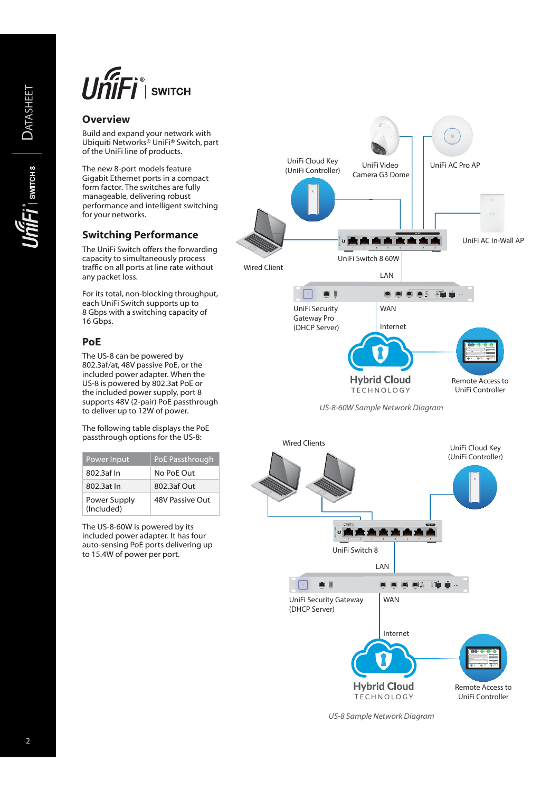

# **Overview**

Build and expand your network with Ubiquiti Networks® UniFi® Switch, part of the UniFi line of products.

The new 8-port models feature Gigabit Ethernet ports in a compact form factor. The switches are fully manageable, delivering robust performance and intelligent switching for your networks.

## **Switching Performance**

The UniFi Switch offers the forwarding capacity to simultaneously process traffic on all ports at line rate without any packet loss.

For its total, non-blocking throughput, each UniFi Switch supports up to 8 Gbps with a switching capacity of 16 Gbps.

### **PoE**

The US-8 can be powered by 802.3af/at, 48V passive PoE, or the included power adapter. When the US-8 is powered by 802.3at PoE or the included power supply, port 8 supports 48V (2-pair) PoE passthrough to deliver up to 12W of power.

The following table displays the PoE passthrough options for the US-8:

| Power Input                | PoE Passthrough        |
|----------------------------|------------------------|
| 802.3af In                 | No PoF Out             |
| 802.3at In                 | 802.3af Out            |
| Power Supply<br>(Included) | <b>48V Passive Out</b> |

The US-8-60W is powered by its included power adapter. It has four auto-sensing PoE ports delivering up to 15.4W of power per port.



*US-8-60W Sample Network Diagram*



*US-8 Sample Network Diagram*

**DATASHEET**